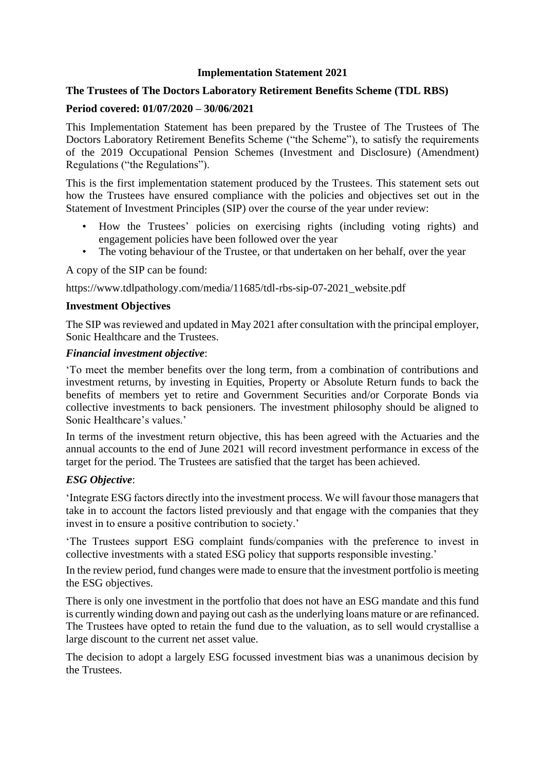### **Implementation Statement 2021**

## **The Trustees of The Doctors Laboratory Retirement Benefits Scheme (TDL RBS)**

### **Period covered: 01/07/2020 – 30/06/2021**

This Implementation Statement has been prepared by the Trustee of The Trustees of The Doctors Laboratory Retirement Benefits Scheme ("the Scheme"), to satisfy the requirements of the 2019 Occupational Pension Schemes (Investment and Disclosure) (Amendment) Regulations ("the Regulations").

This is the first implementation statement produced by the Trustees. This statement sets out how the Trustees have ensured compliance with the policies and objectives set out in the Statement of Investment Principles (SIP) over the course of the year under review:

- How the Trustees' policies on exercising rights (including voting rights) and engagement policies have been followed over the year
- The voting behaviour of the Trustee, or that undertaken on her behalf, over the year

A copy of the SIP can be found:

https://www.tdlpathology.com/media/11685/tdl-rbs-sip-07-2021\_website.pdf

#### **Investment Objectives**

The SIP was reviewed and updated in May 2021 after consultation with the principal employer, Sonic Healthcare and the Trustees.

#### *Financial investment objective*:

'To meet the member benefits over the long term, from a combination of contributions and investment returns, by investing in Equities, Property or Absolute Return funds to back the benefits of members yet to retire and Government Securities and/or Corporate Bonds via collective investments to back pensioners. The investment philosophy should be aligned to Sonic Healthcare's values.'

In terms of the investment return objective, this has been agreed with the Actuaries and the annual accounts to the end of June 2021 will record investment performance in excess of the target for the period. The Trustees are satisfied that the target has been achieved.

### *ESG Objective*:

'Integrate ESG factors directly into the investment process. We will favour those managers that take in to account the factors listed previously and that engage with the companies that they invest in to ensure a positive contribution to society.'

'The Trustees support ESG complaint funds/companies with the preference to invest in collective investments with a stated ESG policy that supports responsible investing.'

In the review period, fund changes were made to ensure that the investment portfolio is meeting the ESG objectives.

There is only one investment in the portfolio that does not have an ESG mandate and this fund is currently winding down and paying out cash as the underlying loans mature or are refinanced. The Trustees have opted to retain the fund due to the valuation, as to sell would crystallise a large discount to the current net asset value.

The decision to adopt a largely ESG focussed investment bias was a unanimous decision by the Trustees.